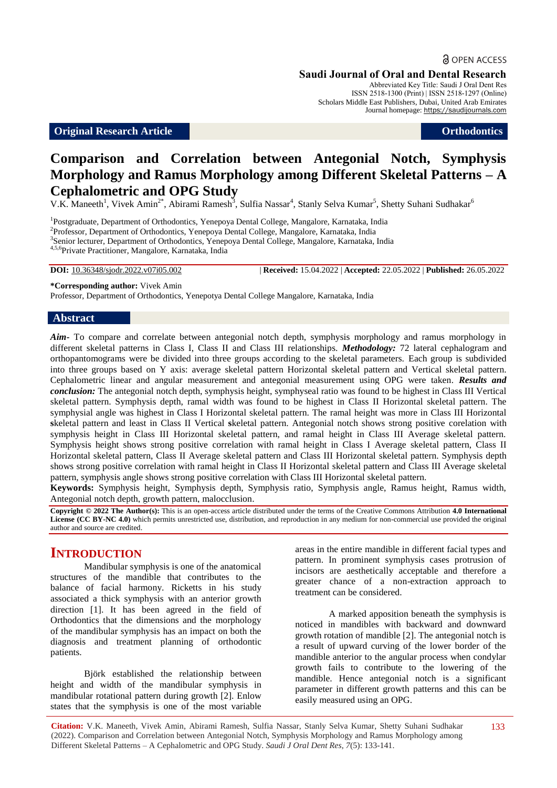**a** OPEN ACCESS

#### **Saudi Journal of Oral and Dental Research**

Abbreviated Key Title: Saudi J Oral Dent Res ISSN 2518-1300 (Print) | ISSN 2518-1297 (Online) Scholars Middle East Publishers, Dubai, United Arab Emirates Journal homepage: https://saudijournals.com

#### **Original Research Article Orthodontics**

# **Comparison and Correlation between Antegonial Notch, Symphysis Morphology and Ramus Morphology among Different Skeletal Patterns – A Cephalometric and OPG Study**

V.K. Maneeth<sup>1</sup>, Vivek Amin<sup>2\*</sup>, Abirami Ramesh<sup>3</sup>, Sulfia Nassar<sup>4</sup>, Stanly Selva Kumar<sup>5</sup>, Shetty Suhani Sudhakar<sup>6</sup>

<sup>1</sup>Postgraduate, Department of Orthodontics, Yenepoya Dental College, Mangalore, Karnataka, India <sup>2</sup> Professor, Department of Orthodontics, Yenepoya Dental College, Mangalore, Karnataka, India <sup>3</sup> Senior lecturer, Department of Orthodontics, Yenepoya Dental College, Mangalore, Karnataka, India 4,5,6Private Practitioner, Mangalore, Karnataka, India

**DOI:** 10.36348/sjodr.2022.v07i05.002 | **Received:** 15.04.2022 | **Accepted:** 22.05.2022 | **Published:** 26.05.2022

**\*Corresponding author:** Vivek Amin

Professor, Department of Orthodontics, Yenepotya Dental College Mangalore, Karnataka, India

#### **Abstract**

*Aim-* To compare and correlate between antegonial notch depth, symphysis morphology and ramus morphology in different skeletal patterns in Class I, Class II and Class III relationships. *Methodology:* 72 lateral cephalogram and orthopantomograms were be divided into three groups according to the skeletal parameters. Each group is subdivided into three groups based on Y axis: average skeletal pattern Horizontal skeletal pattern and Vertical skeletal pattern. Cephalometric linear and angular measurement and antegonial measurement using OPG were taken. *Results and conclusion:* The antegonial notch depth, symphysis height, symphyseal ratio was found to be highest in Class III Vertical skeletal pattern. Symphysis depth, ramal width was found to be highest in Class II Horizontal skeletal pattern. The symphysial angle was highest in Class I Horizontal skeletal pattern. The ramal height was more in Class III Horizontal **s**keletal pattern and least in Class II Vertical **s**keletal pattern. Antegonial notch shows strong positive corelation with symphysis height in Class III Horizontal skeletal pattern, and ramal height in Class III Average skeletal pattern. Symphysis height shows strong positive correlation with ramal height in Class I Average skeletal pattern, Class II Horizontal skeletal pattern, Class II Average skeletal pattern and Class III Horizontal skeletal pattern. Symphysis depth shows strong positive correlation with ramal height in Class II Horizontal skeletal pattern and Class III Average skeletal pattern, symphysis angle shows strong positive correlation with Class III Horizontal skeletal pattern.

**Keywords:** Symphysis height, Symphysis depth, Symphysis ratio, Symphysis angle, Ramus height, Ramus width, Antegonial notch depth, growth pattern, malocclusion.

**Copyright © 2022 The Author(s):** This is an open-access article distributed under the terms of the Creative Commons Attribution **4.0 International License (CC BY-NC 4.0)** which permits unrestricted use, distribution, and reproduction in any medium for non-commercial use provided the original author and source are credited.

## **INTRODUCTION**

Mandibular symphysis is one of the anatomical structures of the mandible that contributes to the balance of facial harmony. Ricketts in his study associated a thick symphysis with an anterior growth direction [1]. It has been agreed in the field of Orthodontics that the dimensions and the morphology of the mandibular symphysis has an impact on both the diagnosis and treatment planning of orthodontic patients.

Björk established the relationship between height and width of the mandibular symphysis in mandibular rotational pattern during growth [2]. Enlow states that the symphysis is one of the most variable areas in the entire mandible in different facial types and pattern. In prominent symphysis cases protrusion of incisors are aesthetically acceptable and therefore a greater chance of a non-extraction approach to treatment can be considered.

A marked apposition beneath the symphysis is noticed in mandibles with backward and downward growth rotation of mandible [2]. The antegonial notch is a result of upward curving of the lower border of the mandible anterior to the angular process when condylar growth fails to contribute to the lowering of the mandible. Hence antegonial notch is a significant parameter in different growth patterns and this can be easily measured using an OPG.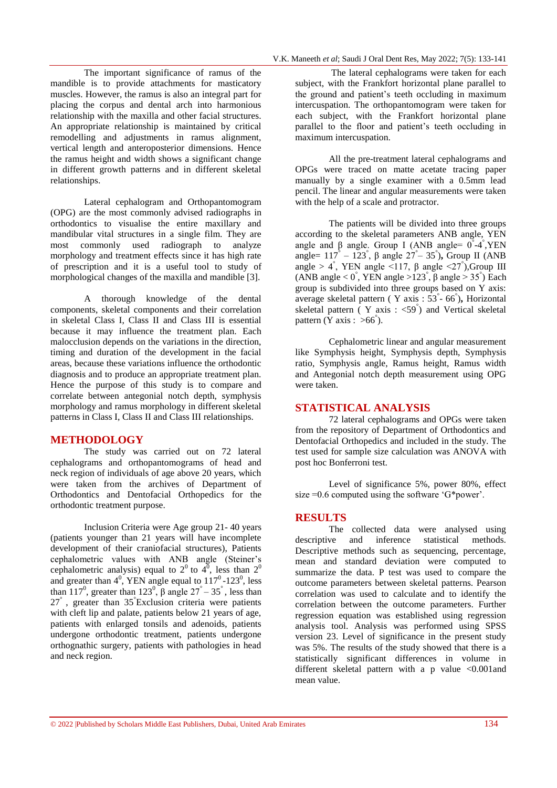The important significance of ramus of the mandible is to provide attachments for masticatory muscles. However, the ramus is also an integral part for placing the corpus and dental arch into harmonious relationship with the maxilla and other facial structures. An appropriate relationship is maintained by critical remodelling and adjustments in ramus alignment, vertical length and anteroposterior dimensions. Hence the ramus height and width shows a significant change in different growth patterns and in different skeletal relationships.

Lateral cephalogram and Orthopantomogram (OPG) are the most commonly advised radiographs in orthodontics to visualise the entire maxillary and mandibular vital structures in a single film. They are most commonly used radiograph to analyze morphology and treatment effects since it has high rate of prescription and it is a useful tool to study of morphological changes of the maxilla and mandible [3].

A thorough knowledge of the dental components, skeletal components and their correlation in skeletal Class I, Class II and Class III is essential because it may influence the treatment plan. Each malocclusion depends on the variations in the direction, timing and duration of the development in the facial areas, because these variations influence the orthodontic diagnosis and to produce an appropriate treatment plan. Hence the purpose of this study is to compare and correlate between antegonial notch depth, symphysis morphology and ramus morphology in different skeletal patterns in Class I, Class II and Class III relationships.

#### **METHODOLOGY**

The study was carried out on 72 lateral cephalograms and orthopantomograms of head and neck region of individuals of age above 20 years, which were taken from the archives of Department of Orthodontics and Dentofacial Orthopedics for the orthodontic treatment purpose.

Inclusion Criteria were Age group 21- 40 years (patients younger than 21 years will have incomplete development of their craniofacial structures), Patients cephalometric values with ANB angle (Steiner's cephalometric analysis) equal to  $2^0$  to  $4^0$ , less than  $2^0$ and greater than  $4^0$ , YEN angle equal to  $117^0$ -123<sup>0</sup>, less than 117<sup>0</sup>, greater than 123<sup>0</sup>,  $\beta$  angle 27<sup>°</sup> – 35<sup>°</sup>, less than  $27^{\degree}$ , greater than  $35^{\degree}$ Exclusion criteria were patients with cleft lip and palate, patients below 21 years of age, patients with enlarged tonsils and adenoids, patients undergone orthodontic treatment, patients undergone orthognathic surgery, patients with pathologies in head and neck region.

The lateral cephalograms were taken for each subject, with the Frankfort horizontal plane parallel to the ground and patient's teeth occluding in maximum intercuspation. The orthopantomogram were taken for each subject, with the Frankfort horizontal plane parallel to the floor and patient's teeth occluding in maximum intercuspation.

All the pre-treatment lateral cephalograms and OPGs were traced on matte acetate tracing paper manually by a single examiner with a 0.5mm lead pencil. The linear and angular measurements were taken with the help of a scale and protractor.

The patients will be divided into three groups according to the skeletal parameters ANB angle, YEN angle and β angle. Group I (ANB angle=  $0^{\degree}$ -4<sup>°</sup>,YEN angle=  $117^\circ$  –  $123^\circ$ , β angle  $27^\circ$  –  $35^\circ$ ), Group II (ANB angle > 4<sup>°</sup>, YEN angle <117, β angle <27<sup>°</sup>), Group III (ANB angle < 0<sup>°</sup>, YEN angle > 123<sup>°</sup>, β angle > 35<sup>°</sup>) Each group is subdivided into three groups based on Y axis: average skeletal pattern ( Y axis : 53° - 66° )**,** Horizontal skeletal pattern ( Y axis : <59° ) and Vertical skeletal pattern (Y axis : >66°).

Cephalometric linear and angular measurement like Symphysis height, Symphysis depth, Symphysis ratio, Symphysis angle, Ramus height, Ramus width and Antegonial notch depth measurement using OPG were taken.

#### **STATISTICAL ANALYSIS**

72 lateral cephalograms and OPGs were taken from the repository of Department of Orthodontics and Dentofacial Orthopedics and included in the study. The test used for sample size calculation was ANOVA with post hoc Bonferroni test.

Level of significance 5%, power 80%, effect size =0.6 computed using the software 'G\*power'.

#### **RESULTS**

The collected data were analysed using descriptive and inference statistical methods. Descriptive methods such as sequencing, percentage, mean and standard deviation were computed to summarize the data. P test was used to compare the outcome parameters between skeletal patterns. Pearson correlation was used to calculate and to identify the correlation between the outcome parameters. Further regression equation was established using regression analysis tool. Analysis was performed using SPSS version 23. Level of significance in the present study was 5%. The results of the study showed that there is a statistically significant differences in volume in different skeletal pattern with a p value <0.001and mean value.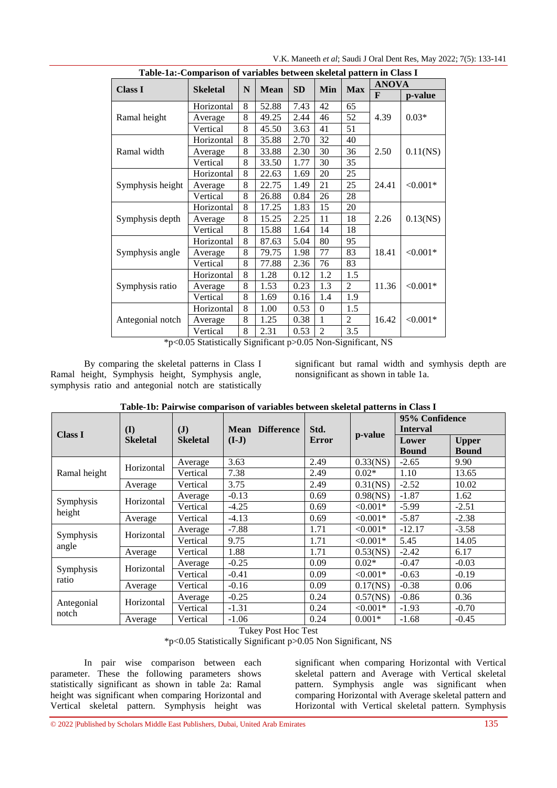| Table-1a:-Comparison of variables between skeletal pattern in Class I |                 |   |             |           |                |                |              |             |  |  |  |
|-----------------------------------------------------------------------|-----------------|---|-------------|-----------|----------------|----------------|--------------|-------------|--|--|--|
| <b>Class I</b>                                                        | <b>Skeletal</b> | N | <b>Mean</b> | <b>SD</b> | Min            | <b>Max</b>     | <b>ANOVA</b> |             |  |  |  |
|                                                                       |                 |   |             |           |                |                | F            | p-value     |  |  |  |
|                                                                       | Horizontal      | 8 | 52.88       | 7.43      | 42             | 65             |              | $0.03*$     |  |  |  |
| Ramal height                                                          | Average         | 8 | 49.25       | 2.44      | 46             | 52             | 4.39         |             |  |  |  |
|                                                                       | Vertical        | 8 | 45.50       | 3.63      | 41             | 51             |              |             |  |  |  |
|                                                                       | Horizontal      | 8 | 35.88       | 2.70      | 32             | 40             |              |             |  |  |  |
| Ramal width                                                           | Average         | 8 | 33.88       | 2.30      | 30             | 36             | 2.50         | $0.11$ (NS) |  |  |  |
|                                                                       | Vertical        | 8 | 33.50       | 1.77      | 30             | 35             |              |             |  |  |  |
|                                                                       | Horizontal      | 8 | 22.63       | 1.69      | 20             | 25             |              |             |  |  |  |
| Symphysis height                                                      | Average         | 8 | 22.75       | 1.49      | 21             | 25             | 24.41        | $< 0.001*$  |  |  |  |
|                                                                       | Vertical        | 8 | 26.88       | 0.84      | 26             | 28             |              |             |  |  |  |
|                                                                       | Horizontal      | 8 | 17.25       | 1.83      | 15             | 20             |              | $0.13$ (NS) |  |  |  |
| Symphysis depth                                                       | Average         | 8 | 15.25       | 2.25      | 11             | 18             | 2.26         |             |  |  |  |
|                                                                       | Vertical        | 8 | 15.88       | 1.64      | 14             | 18             |              |             |  |  |  |
|                                                                       | Horizontal      | 8 | 87.63       | 5.04      | 80             | 95             |              |             |  |  |  |
| Symphysis angle                                                       | Average         | 8 | 79.75       | 1.98      | 77             | 83             | 18.41        | $< 0.001*$  |  |  |  |
|                                                                       | Vertical        | 8 | 77.88       | 2.36      | 76             | 83             |              |             |  |  |  |
|                                                                       | Horizontal      | 8 | 1.28        | 0.12      | 1.2            | 1.5            |              |             |  |  |  |
| Symphysis ratio                                                       | Average         | 8 | 1.53        | 0.23      | 1.3            | 2              | 11.36        | $< 0.001*$  |  |  |  |
|                                                                       | Vertical        | 8 | 1.69        | 0.16      | 1.4            | 1.9            |              |             |  |  |  |
| Antegonial notch                                                      | Horizontal      | 8 | 1.00        | 0.53      | $\theta$       | 1.5            |              |             |  |  |  |
|                                                                       | Average         | 8 | 1.25        | 0.38      | 1              | $\overline{c}$ | 16.42        | $< 0.001*$  |  |  |  |
|                                                                       | Vertical        | 8 | 2.31        | 0.53      | $\overline{2}$ | 3.5            |              |             |  |  |  |

V.K. Maneeth *et al*; Saudi J Oral Dent Res, May 2022; 7(5): 133-141

\*p<0.05 Statistically Significant p>0.05 Non-Significant, NS

By comparing the skeletal patterns in Class I Ramal height, Symphysis height, Symphysis angle, symphysis ratio and antegonial notch are statistically significant but ramal width and symhysis depth are nonsignificant as shown in table 1a.

|                                | (I)             | $\mathbf{J}$    | <b>Difference</b><br><b>Mean</b> | Std. |             | 95% Confidence<br><b>Interval</b> |                              |
|--------------------------------|-----------------|-----------------|----------------------------------|------|-------------|-----------------------------------|------------------------------|
| <b>Class I</b>                 | <b>Skeletal</b> | <b>Skeletal</b> | $(I-J)$<br><b>Error</b>          |      | p-value     | Lower<br><b>Bound</b>             | <b>Upper</b><br><b>Bound</b> |
|                                | Horizontal      | Average         | 3.63                             | 2.49 | $0.33$ (NS) | $-2.65$                           | 9.90                         |
| Ramal height                   |                 | Vertical        | 7.38                             | 2.49 | $0.02*$     | 1.10                              | 13.65                        |
|                                | Average         | Vertical        | 3.75                             | 2.49 | $0.31$ (NS) | $-2.52$                           | 10.02                        |
|                                | Horizontal      | Average         | $-0.13$                          | 0.69 | $0.98$ (NS) | $-1.87$                           | 1.62                         |
| Symphysis<br>height<br>Average |                 | Vertical        | $-4.25$                          | 0.69 | $< 0.001*$  | $-5.99$                           | $-2.51$                      |
|                                |                 | Vertical        | $-4.13$                          | 0.69 | $< 0.001*$  | $-5.87$                           | $-2.38$                      |
|                                | Horizontal      | Average         | $-7.88$                          | 1.71 | $< 0.001*$  | $-12.17$                          | $-3.58$                      |
| Symphysis                      |                 | Vertical        | 9.75                             | 1.71 | $< 0.001*$  | 5.45                              | 14.05                        |
| angle                          | Average         | Vertical        | 1.88                             | 1.71 | $0.53$ (NS) | $-2.42$                           | 6.17                         |
|                                | Horizontal      | Average         | $-0.25$                          | 0.09 | $0.02*$     | $-0.47$                           | $-0.03$                      |
| Symphysis                      |                 | Vertical        | $-0.41$                          | 0.09 | $< 0.001*$  | $-0.63$                           | $-0.19$                      |
| ratio                          | Average         | Vertical        | $-0.16$                          | 0.09 | $0.17$ (NS) | $-0.38$                           | 0.06                         |
|                                | Horizontal      | Average         | $-0.25$                          | 0.24 | $0.57$ (NS) | $-0.86$                           | 0.36                         |
| Antegonial<br>notch            |                 | Vertical        | $-1.31$                          | 0.24 | $< 0.001*$  | $-1.93$                           | $-0.70$                      |
|                                | Average         | Vertical        | $-1.06$                          | 0.24 | $0.001*$    | $-1.68$                           | $-0.45$                      |

**Table-1b: Pairwise comparison of variables between skeletal patterns in Class I**

Tukey Post Hoc Test

\*p<0.05 Statistically Significant p>0.05 Non Significant, NS

In pair wise comparison between each parameter. These the following parameters shows statistically significant as shown in table 2a: Ramal height was significant when comparing Horizontal and Vertical skeletal pattern. Symphysis height was significant when comparing Horizontal with Vertical skeletal pattern and Average with Vertical skeletal pattern. Symphysis angle was significant when comparing Horizontal with Average skeletal pattern and Horizontal with Vertical skeletal pattern. Symphysis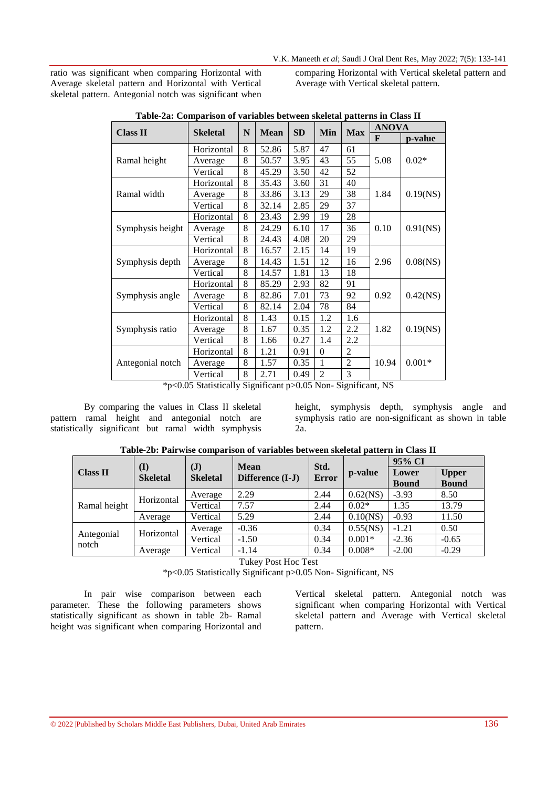ratio was significant when comparing Horizontal with Average skeletal pattern and Horizontal with Vertical skeletal pattern. Antegonial notch was significant when comparing Horizontal with Vertical skeletal pattern and Average with Vertical skeletal pattern.

|                  |            | N |             | SD   | Min            |                | <b>ANOVA</b> |             |
|------------------|------------|---|-------------|------|----------------|----------------|--------------|-------------|
| <b>Class II</b>  | Skeletal   |   | <b>Mean</b> |      |                | <b>Max</b>     | F            | p-value     |
|                  | Horizontal | 8 | 52.86       | 5.87 | 47             | 61             |              |             |
| Ramal height     | Average    | 8 | 50.57       | 3.95 | 43             | 55             | 5.08         | $0.02*$     |
|                  | Vertical   | 8 | 45.29       | 3.50 | 42             | 52             |              |             |
|                  | Horizontal | 8 | 35.43       | 3.60 | 31             | 40             |              |             |
| Ramal width      | Average    | 8 | 33.86       | 3.13 | 29             | 38             | 1.84         | $0.19$ (NS) |
|                  | Vertical   | 8 | 32.14       | 2.85 | 29             | 37             |              |             |
|                  | Horizontal | 8 | 23.43       | 2.99 | 19             | 28             |              |             |
| Symphysis height | Average    | 8 | 24.29       | 6.10 | 17             | 36             | 0.10         | $0.91$ (NS) |
|                  | Vertical   | 8 | 24.43       | 4.08 | 20             | 29             |              |             |
|                  | Horizontal | 8 | 16.57       | 2.15 | 14             | 19             |              | $0.08$ (NS) |
| Symphysis depth  | Average    | 8 | 14.43       | 1.51 | 12             | 16             | 2.96         |             |
|                  | Vertical   | 8 | 14.57       | 1.81 | 13             | 18             |              |             |
|                  | Horizontal | 8 | 85.29       | 2.93 | 82             | 91             |              |             |
| Symphysis angle  | Average    | 8 | 82.86       | 7.01 | 73             | 92             | 0.92         | $0.42$ (NS) |
|                  | Vertical   | 8 | 82.14       | 2.04 | 78             | 84             |              |             |
|                  | Horizontal | 8 | 1.43        | 0.15 | 1.2            | 1.6            |              |             |
| Symphysis ratio  | Average    | 8 | 1.67        | 0.35 | 1.2            | 2.2            | 1.82         | $0.19$ (NS) |
|                  | Vertical   | 8 | 1.66        | 0.27 | 1.4            | 2.2            |              |             |
|                  | Horizontal | 8 | 1.21        | 0.91 | $\theta$       | 2              |              |             |
| Antegonial notch | Average    | 8 | 1.57        | 0.35 | 1              | $\overline{2}$ | 10.94        | $0.001*$    |
|                  | Vertical   | 8 | 2.71        | 0.49 | $\overline{2}$ | 3              |              |             |

**Table-2a: Comparison of variables between skeletal patterns in Class II**

\*p<0.05 Statistically Significant p>0.05 Non- Significant, NS

By comparing the values in Class II skeletal pattern ramal height and antegonial notch are statistically significant but ramal width symphysis height, symphysis depth, symphysis angle and symphysis ratio are non-significant as shown in table 2a.

|                     |                        |                                   | <b>Mean</b>                                 | Std.         |             | 95% CI       |              |  |
|---------------------|------------------------|-----------------------------------|---------------------------------------------|--------------|-------------|--------------|--------------|--|
| <b>Class II</b>     | (I)<br><b>Skeletal</b> | $(\mathbf{J})$<br><b>Skeletal</b> |                                             | Error        | p-value     | Lower        | <b>Upper</b> |  |
|                     |                        |                                   | Difference (I-J)                            |              |             | <b>Bound</b> | <b>Bound</b> |  |
|                     | Horizontal             | Average                           | 2.29                                        | 2.44         | $0.62$ (NS) | $-3.93$      | 8.50         |  |
| Ramal height        |                        | Vertical                          | 7.57                                        | 2.44         | $0.02*$     | 1.35         | 13.79        |  |
|                     | Average                | Vertical                          | 5.29                                        | 2.44         | $0.10$ (NS) | $-0.93$      | 11.50        |  |
|                     | Horizontal             | Average                           | $-0.36$                                     | 0.34         | $0.55$ (NS) | $-1.21$      | 0.50         |  |
| Antegonial<br>notch |                        | Vertical                          | $-1.50$                                     | 0.34         | $0.001*$    | $-2.36$      | $-0.65$      |  |
|                     | Average                | Vertical                          | $-1.14$                                     | 0.34         | $0.008*$    | $-2.00$      | $-0.29$      |  |
|                     |                        |                                   | T <sub>1</sub><br>$\mathbf{r}$ $\mathbf{r}$ | $\mathbf{r}$ |             |              |              |  |

**Table-2b: Pairwise comparison of variables between skeletal pattern in Class II**

Tukey Post Hoc Test

\*p<0.05 Statistically Significant p>0.05 Non- Significant, NS

In pair wise comparison between each parameter. These the following parameters shows statistically significant as shown in table 2b- Ramal height was significant when comparing Horizontal and

Vertical skeletal pattern. Antegonial notch was significant when comparing Horizontal with Vertical skeletal pattern and Average with Vertical skeletal pattern.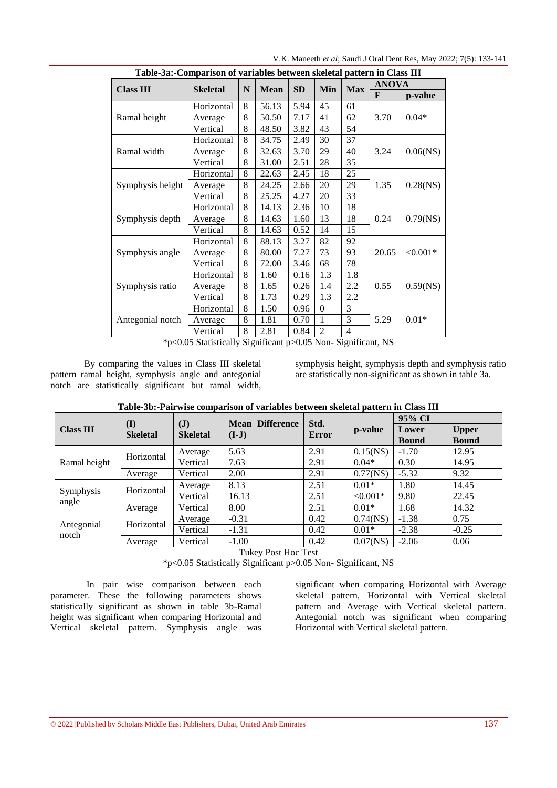| Table-3a:-Comparison of variables between skeletal pattern in Class III |                 |   |             |           |                |     |              |             |  |  |
|-------------------------------------------------------------------------|-----------------|---|-------------|-----------|----------------|-----|--------------|-------------|--|--|
| <b>Class III</b>                                                        | <b>Skeletal</b> | N | <b>Mean</b> | <b>SD</b> | Min            | Max | <b>ANOVA</b> |             |  |  |
|                                                                         |                 |   |             |           |                |     | F            | p-value     |  |  |
|                                                                         | Horizontal      | 8 | 56.13       | 5.94      | 45             | 61  |              |             |  |  |
| Ramal height                                                            | Average         | 8 | 50.50       | 7.17      | 41             | 62  | 3.70         | $0.04*$     |  |  |
|                                                                         | Vertical        | 8 | 48.50       | 3.82      | 43             | 54  |              |             |  |  |
|                                                                         | Horizontal      | 8 | 34.75       | 2.49      | 30             | 37  |              |             |  |  |
| Ramal width                                                             | Average         | 8 | 32.63       | 3.70      | 29             | 40  | 3.24         | $0.06$ (NS) |  |  |
|                                                                         | Vertical        | 8 | 31.00       | 2.51      | 28             | 35  |              |             |  |  |
|                                                                         | Horizontal      | 8 | 22.63       | 2.45      | 18             | 25  |              |             |  |  |
| Symphysis height                                                        | Average         | 8 | 24.25       | 2.66      | 20             | 29  | 1.35         | $0.28$ (NS) |  |  |
|                                                                         | Vertical        | 8 | 25.25       | 4.27      | 20             | 33  |              |             |  |  |
|                                                                         | Horizontal      | 8 | 14.13       | 2.36      | 10             | 18  |              | $0.79$ (NS) |  |  |
| Symphysis depth                                                         | Average         | 8 | 14.63       | 1.60      | 13             | 18  | 0.24         |             |  |  |
|                                                                         | Vertical        | 8 | 14.63       | 0.52      | 14             | 15  |              |             |  |  |
|                                                                         | Horizontal      | 8 | 88.13       | 3.27      | 82             | 92  |              |             |  |  |
| Symphysis angle                                                         | Average         | 8 | 80.00       | 7.27      | 73             | 93  | 20.65        | $< 0.001*$  |  |  |
|                                                                         | Vertical        | 8 | 72.00       | 3.46      | 68             | 78  |              |             |  |  |
|                                                                         | Horizontal      | 8 | 1.60        | 0.16      | 1.3            | 1.8 |              |             |  |  |
| Symphysis ratio                                                         | Average         | 8 | 1.65        | 0.26      | 1.4            | 2.2 | 0.55         | $0.59$ (NS) |  |  |
|                                                                         | Vertical        | 8 | 1.73        | 0.29      | 1.3            | 2.2 |              |             |  |  |
|                                                                         | Horizontal      | 8 | 1.50        | 0.96      | $\Omega$       | 3   |              |             |  |  |
| Antegonial notch                                                        | Average         | 8 | 1.81        | 0.70      | $\mathbf{1}$   | 3   | 5.29         | $0.01*$     |  |  |
|                                                                         | Vertical        | 8 | 2.81        | 0.84      | $\overline{2}$ | 4   |              |             |  |  |

V.K. Maneeth *et al*; Saudi J Oral Dent Res, May 2022; 7(5): 133-141

\*p<0.05 Statistically Significant p>0.05 Non- Significant, NS

By comparing the values in Class III skeletal pattern ramal height, symphysis angle and antegonial notch are statistically significant but ramal width, symphysis height, symphysis depth and symphysis ratio are statistically non-significant as shown in table 3a.

|                  |                        | $(\mathbf{J})$  | <b>Difference</b><br><b>Mean</b> | Std.  |             | 95% CI                |                              |
|------------------|------------------------|-----------------|----------------------------------|-------|-------------|-----------------------|------------------------------|
| <b>Class III</b> | (I)<br><b>Skeletal</b> | <b>Skeletal</b> | $(I-J)$                          | Error | p-value     | Lower<br><b>Bound</b> | <b>Upper</b><br><b>Bound</b> |
|                  | Horizontal             | Average         | 5.63                             | 2.91  | $0.15$ (NS) | $-1.70$               | 12.95                        |
| Ramal height     |                        | Vertical        | 7.63                             | 2.91  | $0.04*$     | 0.30                  | 14.95                        |
|                  | Average                | Vertical        | 2.00                             | 2.91  | $0.77$ (NS) | $-5.32$               | 9.32                         |
|                  | Horizontal             | Average         | 8.13                             | 2.51  | $0.01*$     | 1.80                  | 14.45                        |
| Symphysis        |                        | Vertical        | 16.13                            | 2.51  | $< 0.001*$  | 9.80                  | 22.45                        |
| angle            | Average                | Vertical        | 8.00                             | 2.51  | $0.01*$     | 1.68                  | 14.32                        |
|                  | Horizontal             | Average         | $-0.31$                          | 0.42  | $0.74$ (NS) | $-1.38$               | 0.75                         |
| Antegonial       |                        | Vertical        | $-1.31$                          | 0.42  | $0.01*$     | $-2.38$               | $-0.25$                      |
| notch            | Average                | Vertical        | $-1.00$                          | 0.42  | $0.07$ (NS) | $-2.06$               | 0.06                         |

**Table-3b:-Pairwise comparison of variables between skeletal pattern in Class III**

Tukey Post Hoc Test

\*p<0.05 Statistically Significant p>0.05 Non- Significant, NS

In pair wise comparison between each parameter. These the following parameters shows statistically significant as shown in table 3b-Ramal height was significant when comparing Horizontal and Vertical skeletal pattern. Symphysis angle was

significant when comparing Horizontal with Average skeletal pattern, Horizontal with Vertical skeletal pattern and Average with Vertical skeletal pattern. Antegonial notch was significant when comparing Horizontal with Vertical skeletal pattern.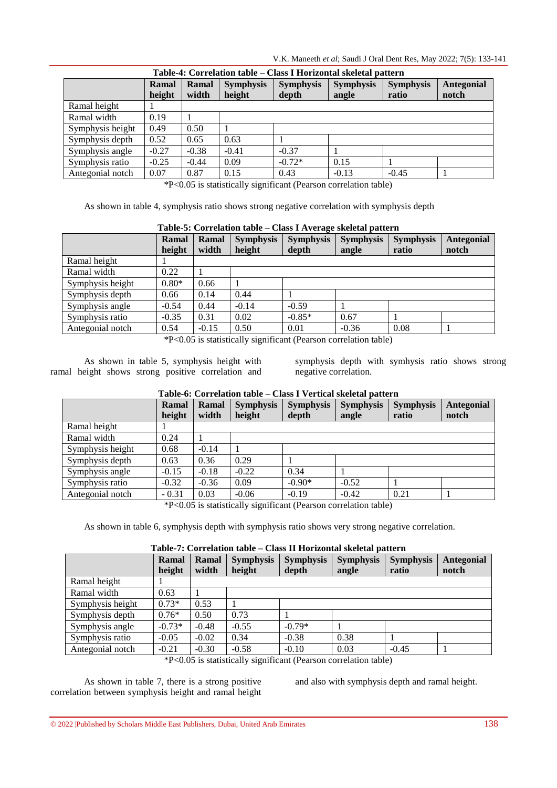V.K. Maneeth *et al*; Saudi J Oral Dent Res, May 2022; 7(5): 133-141

|                  | Table-4: Correlation table – Class I Horizontal skeletal pattern |         |                  |                  |                  |                  |                   |  |  |  |  |  |
|------------------|------------------------------------------------------------------|---------|------------------|------------------|------------------|------------------|-------------------|--|--|--|--|--|
|                  | Ramal                                                            | Ramal   | <b>Symphysis</b> | <b>Symphysis</b> | <b>Symphysis</b> | <b>Symphysis</b> | <b>Antegonial</b> |  |  |  |  |  |
|                  | height                                                           | width   | height           | depth            | angle            | ratio            | notch             |  |  |  |  |  |
| Ramal height     |                                                                  |         |                  |                  |                  |                  |                   |  |  |  |  |  |
| Ramal width      | 0.19                                                             |         |                  |                  |                  |                  |                   |  |  |  |  |  |
| Symphysis height | 0.49                                                             | 0.50    |                  |                  |                  |                  |                   |  |  |  |  |  |
| Symphysis depth  | 0.52                                                             | 0.65    | 0.63             |                  |                  |                  |                   |  |  |  |  |  |
| Symphysis angle  | $-0.27$                                                          | $-0.38$ | $-0.41$          | $-0.37$          |                  |                  |                   |  |  |  |  |  |
| Symphysis ratio  | $-0.25$                                                          | $-0.44$ | 0.09             | $-0.72*$         | 0.15             |                  |                   |  |  |  |  |  |
| Antegonial notch | 0.07                                                             | 0.87    | 0.15             | 0.43             | $-0.13$          | $-0.45$          |                   |  |  |  |  |  |

\*P<0.05 is statistically significant (Pearson correlation table)

As shown in table 4, symphysis ratio shows strong negative correlation with symphysis depth

#### **Table-5: Correlation table – Class I Average skeletal pattern**

|                  | Ramal<br>height | Ramal<br>width | <b>Symphysis</b><br>height | <b>Symphysis</b><br>depth | <b>Symphysis</b><br>angle | <b>Symphysis</b><br>ratio | <b>Antegonial</b><br>notch |
|------------------|-----------------|----------------|----------------------------|---------------------------|---------------------------|---------------------------|----------------------------|
| Ramal height     |                 |                |                            |                           |                           |                           |                            |
| Ramal width      | 0.22            |                |                            |                           |                           |                           |                            |
| Symphysis height | $0.80*$         | 0.66           |                            |                           |                           |                           |                            |
| Symphysis depth  | 0.66            | 0.14           | 0.44                       |                           |                           |                           |                            |
| Symphysis angle  | $-0.54$         | 0.44           | $-0.14$                    | $-0.59$                   |                           |                           |                            |
| Symphysis ratio  | $-0.35$         | 0.31           | 0.02                       | $-0.85*$                  | 0.67                      |                           |                            |
| Antegonial notch | 0.54            | $-0.15$        | 0.50                       | 0.01                      | $-0.36$                   | 0.08                      |                            |

\*P<0.05 is statistically significant (Pearson correlation table)

As shown in table 5, symphysis height with ramal height shows strong positive correlation and symphysis depth with symhysis ratio shows strong negative correlation.

|                  | Ramal   | Ramal   | <b>Symphysis</b> | <b>Symphysis</b> | <b>Symphysis</b> | <b>Symphysis</b> | Antegonial |
|------------------|---------|---------|------------------|------------------|------------------|------------------|------------|
|                  | height  | width   | height           | depth            | angle            | ratio            | notch      |
| Ramal height     |         |         |                  |                  |                  |                  |            |
| Ramal width      | 0.24    |         |                  |                  |                  |                  |            |
| Symphysis height | 0.68    | $-0.14$ |                  |                  |                  |                  |            |
| Symphysis depth  | 0.63    | 0.36    | 0.29             |                  |                  |                  |            |
| Symphysis angle  | $-0.15$ | $-0.18$ | $-0.22$          | 0.34             |                  |                  |            |
| Symphysis ratio  | $-0.32$ | $-0.36$ | 0.09             | $-0.90*$         | $-0.52$          |                  |            |
| Antegonial notch | $-0.31$ | 0.03    | $-0.06$          | $-0.19$          | $-0.42$          | 0.21             |            |

#### **Table-6: Correlation table – Class I Vertical skeletal pattern**

\*P<0.05 is statistically significant (Pearson correlation table)

As shown in table 6, symphysis depth with symphysis ratio shows very strong negative correlation.

## **Table-7: Correlation table – Class II Horizontal skeletal pattern**

|                  | <u>Chaud aa aagaanganna darengun burree h</u> |         |                                                                      |                  |                  |                  |                   |  |  |  |  |  |
|------------------|-----------------------------------------------|---------|----------------------------------------------------------------------|------------------|------------------|------------------|-------------------|--|--|--|--|--|
|                  | Ramal                                         | Ramal   | <b>Symphysis</b>                                                     | <b>Symphysis</b> | <b>Symphysis</b> | <b>Symphysis</b> | <b>Antegonial</b> |  |  |  |  |  |
|                  | height                                        | width   | height                                                               | depth            | angle            | ratio            | notch             |  |  |  |  |  |
| Ramal height     |                                               |         |                                                                      |                  |                  |                  |                   |  |  |  |  |  |
| Ramal width      | 0.63                                          |         |                                                                      |                  |                  |                  |                   |  |  |  |  |  |
| Symphysis height | $0.73*$                                       | 0.53    |                                                                      |                  |                  |                  |                   |  |  |  |  |  |
| Symphysis depth  | $0.76*$                                       | 0.50    | 0.73                                                                 |                  |                  |                  |                   |  |  |  |  |  |
| Symphysis angle  | $-0.73*$                                      | $-0.48$ | $-0.55$                                                              | $-0.79*$         |                  |                  |                   |  |  |  |  |  |
| Symphysis ratio  | $-0.05$                                       | $-0.02$ | 0.34                                                                 | $-0.38$          | 0.38             |                  |                   |  |  |  |  |  |
| Antegonial notch | $-0.21$                                       | $-0.30$ | $-0.58$                                                              | $-0.10$          | 0.03             | $-0.45$          |                   |  |  |  |  |  |
|                  |                                               |         | $*D$ of $D \subset \{1, \ldots, 1\}$ is $C \subset \{1, \ldots, 1\}$ |                  | 1.1.1.1          |                  |                   |  |  |  |  |  |

\*P<0.05 is statistically significant (Pearson correlation table)

As shown in table 7, there is a strong positive correlation between symphysis height and ramal height and also with symphysis depth and ramal height.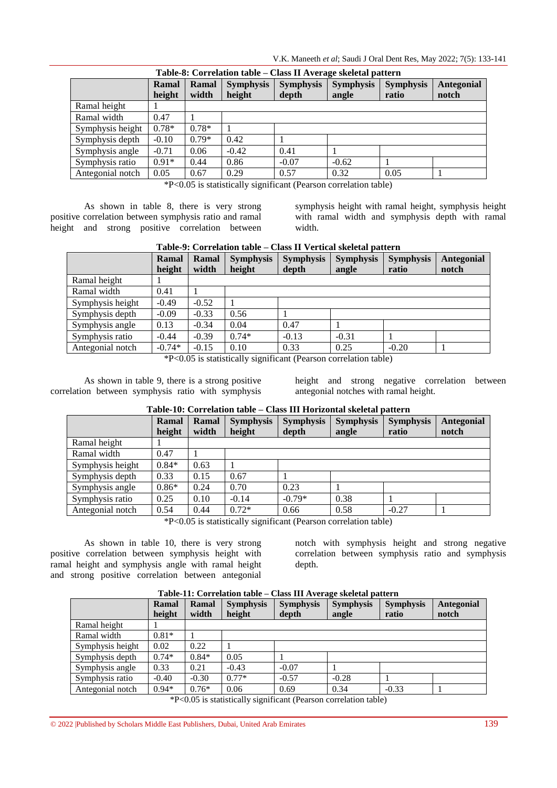V.K. Maneeth *et al*; Saudi J Oral Dent Res, May 2022; 7(5): 133-141

| Table-8: Correlation table – Class II Average skeletal pattern |         |         |                  |                  |                  |                  |            |  |  |  |
|----------------------------------------------------------------|---------|---------|------------------|------------------|------------------|------------------|------------|--|--|--|
|                                                                | Ramal   | Ramal   | <b>Symphysis</b> | <b>Symphysis</b> | <b>Symphysis</b> | <b>Symphysis</b> | Antegonial |  |  |  |
|                                                                | height  | width   | height           | depth            | angle            | ratio            | notch      |  |  |  |
| Ramal height                                                   |         |         |                  |                  |                  |                  |            |  |  |  |
| Ramal width                                                    | 0.47    |         |                  |                  |                  |                  |            |  |  |  |
| Symphysis height                                               | $0.78*$ | $0.78*$ |                  |                  |                  |                  |            |  |  |  |
| Symphysis depth                                                | $-0.10$ | $0.79*$ | 0.42             |                  |                  |                  |            |  |  |  |
| Symphysis angle                                                | $-0.71$ | 0.06    | $-0.42$          | 0.41             |                  |                  |            |  |  |  |
| Symphysis ratio                                                | $0.91*$ | 0.44    | 0.86             | $-0.07$          | $-0.62$          |                  |            |  |  |  |
| Antegonial notch                                               | 0.05    | 0.67    | 0.29             | 0.57             | 0.32             | 0.05             |            |  |  |  |

\*P<0.05 is statistically significant (Pearson correlation table)

As shown in table 8, there is very strong positive correlation between symphysis ratio and ramal height and strong positive correlation between symphysis height with ramal height, symphysis height with ramal width and symphysis depth with ramal width.

|                  | Ramal<br>height | Ramal<br>width | <b>Symphysis</b><br>height | <b>Symphysis</b><br>depth | <b>Symphysis</b><br>angle | <b>Symphysis</b><br>ratio | Antegonial<br>notch |
|------------------|-----------------|----------------|----------------------------|---------------------------|---------------------------|---------------------------|---------------------|
| Ramal height     |                 |                |                            |                           |                           |                           |                     |
| Ramal width      | 0.41            |                |                            |                           |                           |                           |                     |
| Symphysis height | $-0.49$         | $-0.52$        |                            |                           |                           |                           |                     |
| Symphysis depth  | $-0.09$         | $-0.33$        | 0.56                       |                           |                           |                           |                     |
| Symphysis angle  | 0.13            | $-0.34$        | 0.04                       | 0.47                      |                           |                           |                     |
| Symphysis ratio  | $-0.44$         | $-0.39$        | $0.74*$                    | $-0.13$                   | $-0.31$                   |                           |                     |
| Antegonial notch | $-0.74*$        | $-0.15$        | 0.10                       | 0.33                      | 0.25                      | $-0.20$                   |                     |

#### **Table-9: Correlation table – Class II Vertical skeletal pattern**

\*P<0.05 is statistically significant (Pearson correlation table)

As shown in table 9, there is a strong positive correlation between symphysis ratio with symphysis

height and strong negative correlation between antegonial notches with ramal height.

#### **Table-10: Correlation table – Class III Horizontal skeletal pattern**

|                  | Ramal<br>height | Ramal<br>width | <b>Symphysis</b><br>height | <b>Symphysis</b><br>depth | <b>Symphysis</b><br>angle | <b>Symphysis</b><br>ratio | Antegonial<br>notch |
|------------------|-----------------|----------------|----------------------------|---------------------------|---------------------------|---------------------------|---------------------|
| Ramal height     |                 |                |                            |                           |                           |                           |                     |
| Ramal width      | 0.47            |                |                            |                           |                           |                           |                     |
| Symphysis height | $0.84*$         | 0.63           |                            |                           |                           |                           |                     |
| Symphysis depth  | 0.33            | 0.15           | 0.67                       |                           |                           |                           |                     |
| Symphysis angle  | $0.86*$         | 0.24           | 0.70                       | 0.23                      |                           |                           |                     |
| Symphysis ratio  | 0.25            | 0.10           | $-0.14$                    | $-0.79*$                  | 0.38                      |                           |                     |
| Antegonial notch | 0.54            | 0.44           | $0.72*$                    | 0.66                      | 0.58                      | $-0.27$                   |                     |

\*P<0.05 is statistically significant (Pearson correlation table)

As shown in table 10, there is very strong positive correlation between symphysis height with ramal height and symphysis angle with ramal height and strong positive correlation between antegonial

notch with symphysis height and strong negative correlation between symphysis ratio and symphysis depth.

#### **Ramal height Ramal width Symphysis height Symphysis depth Symphysis angle Symphysis ratio Antegonial notch** Ramal height 1 Ramal width  $0.81*$  1 Symphysis height  $\begin{array}{|c|c|c|c|c|c|} \hline 0.02 & 0.22 & 1 \\\hline \end{array}$ Symphysis depth  $0.74*$   $0.84*$   $0.05$  1 Symphysis angle 0.33 0.21 -0.43 -0.07 1 Symphysis ratio  $\begin{vmatrix} -0.40 & -0.30 & 0.77 \end{vmatrix}$  -0.57  $\begin{vmatrix} -0.28 & 1 \end{vmatrix}$ Antegonial notch 0.94\* 0.76\* 0.06 0.69 0.34 -0.33

#### **Table-11: Correlation table – Class III Average skeletal pattern**

\*P<0.05 is statistically significant (Pearson correlation table)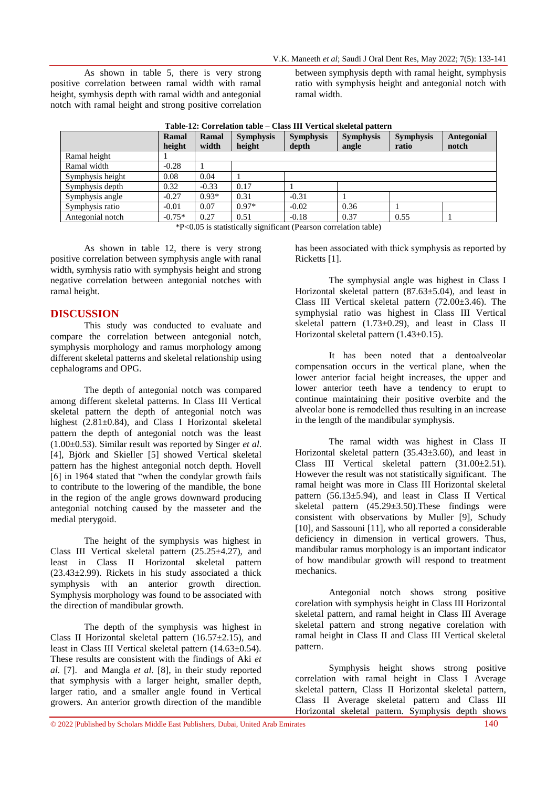As shown in table 5, there is very strong positive correlation between ramal width with ramal height, symhysis depth with ramal width and antegonial notch with ramal height and strong positive correlation between symphysis depth with ramal height, symphysis ratio with symphysis height and antegonial notch with ramal width.

|                  | <b>Ramal</b><br>height | Ramal<br>width | <b>Symphysis</b><br>height | <b>Symphysis</b><br>depth | <b>Symphysis</b><br>angle | <b>Symphysis</b><br>ratio | Antegonial<br>notch |
|------------------|------------------------|----------------|----------------------------|---------------------------|---------------------------|---------------------------|---------------------|
| Ramal height     |                        |                |                            |                           |                           |                           |                     |
| Ramal width      | $-0.28$                |                |                            |                           |                           |                           |                     |
| Symphysis height | 0.08                   | 0.04           |                            |                           |                           |                           |                     |
| Symphysis depth  | 0.32                   | $-0.33$        | 0.17                       |                           |                           |                           |                     |
| Symphysis angle  | $-0.27$                | $0.93*$        | 0.31                       | $-0.31$                   |                           |                           |                     |
| Symphysis ratio  | $-0.01$                | 0.07           | $0.97*$                    | $-0.02$                   | 0.36                      |                           |                     |
| Antegonial notch | $-0.75*$               | 0.27           | 0.51                       | $-0.18$                   | 0.37                      | 0.55                      |                     |

\*P<0.05 is statistically significant (Pearson correlation table)

As shown in table 12, there is very strong positive correlation between symphysis angle with ranal width, symhysis ratio with symphysis height and strong negative correlation between antegonial notches with ramal height.

#### **DISCUSSION**

This study was conducted to evaluate and compare the correlation between antegonial notch, symphysis morphology and ramus morphology among different skeletal patterns and skeletal relationship using cephalograms and OPG.

The depth of antegonial notch was compared among different skeletal patterns. In Class III Vertical skeletal pattern the depth of antegonial notch was highest (2.81±0.84), and Class I Horizontal **s**keletal pattern the depth of antegonial notch was the least (1.00±0.53). Similar result was reported by Singer *et al*. [4], Björk and Skieller [5] showed Vertical **s**keletal pattern has the highest antegonial notch depth. Hovell [6] in 1964 stated that "when the condylar growth fails to contribute to the lowering of the mandible, the bone in the region of the angle grows downward producing antegonial notching caused by the masseter and the medial pterygoid.

The height of the symphysis was highest in Class III Vertical skeletal pattern  $(25.25 \pm 4.27)$ , and least in Class II Horizontal **s**keletal pattern  $(23.43\pm2.99)$ . Rickets in his study associated a thick symphysis with an anterior growth direction. Symphysis morphology was found to be associated with the direction of mandibular growth.

The depth of the symphysis was highest in Class II Horizontal skeletal pattern  $(16.57 \pm 2.15)$ , and least in Class III Vertical skeletal pattern (14.63±0.54). These results are consistent with the findings of Aki *et al.* [7]. and Mangla *et al*. [8], in their study reported that symphysis with a larger height, smaller depth, larger ratio, and a smaller angle found in Vertical growers. An anterior growth direction of the mandible

has been associated with thick symphysis as reported by Ricketts [1].

The symphysial angle was highest in Class I Horizontal skeletal pattern  $(87.63 \pm 5.04)$ , and least in Class III Vertical skeletal pattern (72.00±3.46). The symphysial ratio was highest in Class III Vertical skeletal pattern  $(1.73\pm0.29)$ , and least in Class II Horizontal skeletal pattern (1.43±0.15).

It has been noted that a dentoalveolar compensation occurs in the vertical plane, when the lower anterior facial height increases, the upper and lower anterior teeth have a tendency to erupt to continue maintaining their positive overbite and the alveolar bone is remodelled thus resulting in an increase in the length of the mandibular symphysis.

The ramal width was highest in Class II Horizontal skeletal pattern  $(35.43\pm3.60)$ , and least in Class III Vertical skeletal pattern (31.00±2.51). However the result was not statistically significant. The ramal height was more in Class III Horizontal skeletal pattern (56.13±5.94), and least in Class II Vertical skeletal pattern (45.29±3.50).These findings were consistent with observations by Muller [9], Schudy [10], and Sassouni [11], who all reported a considerable deficiency in dimension in vertical growers. Thus, mandibular ramus morphology is an important indicator of how mandibular growth will respond to treatment mechanics.

Antegonial notch shows strong positive corelation with symphysis height in Class III Horizontal skeletal pattern, and ramal height in Class III Average skeletal pattern and strong negative corelation with ramal height in Class II and Class III Vertical skeletal pattern.

Symphysis height shows strong positive correlation with ramal height in Class I Average skeletal pattern, Class II Horizontal skeletal pattern, Class II Average skeletal pattern and Class III Horizontal skeletal pattern. Symphysis depth shows